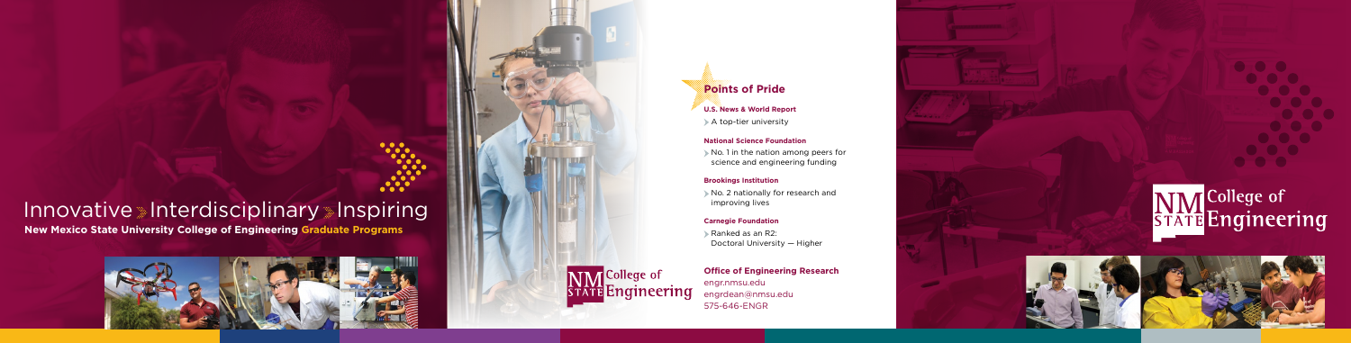# Innovative Interdisciplinary Inspiring

**New Mexico State University College of Engineering Graduate Programs**



**NM** College of<br>STATE Engineering

## **Office of Engineering Research**

engr.nmsu.edu engrdean@nmsu.edu 575-646-ENGR



# **Points of Pride**

#### **U.S. News & World Report**

A top-tier university

Ranked as an R2: Doctoral University — Higher

#### **National Science Foundation**

No. 1 in the nation among peers for science and engineering funding

#### **Brookings Institution**

No. 2 nationally for research and improving lives

#### **Carnegie Foundation**